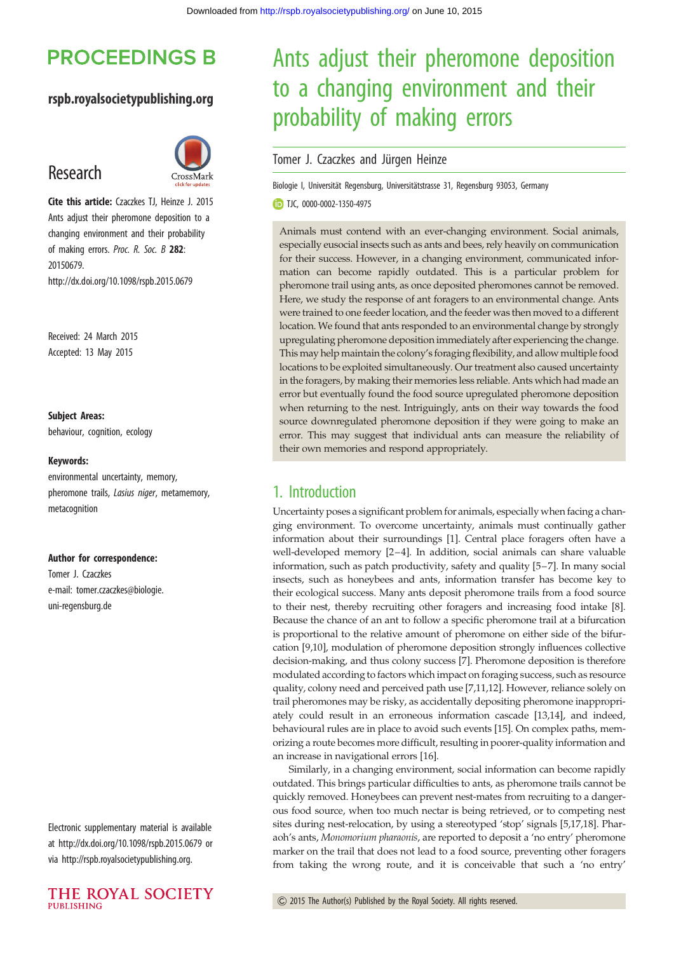## **PROCEEDINGS B**

## rspb.royalsocietypublishing.org

## Research



Cite this article: Czaczkes TJ, Heinze J. 2015 Ants adjust their pheromone deposition to a changing environment and their probability of making errors. Proc. R. Soc. B 282: 20150679. http://dx.doi.org/10.1098/rspb.2015.0679

Received: 24 March 2015 Accepted: 13 May 2015

#### Subject Areas:

behaviour, cognition, ecology

#### Keywords:

environmental uncertainty, memory, pheromone trails, Lasius niger, metamemory, metacognition

#### Author for correspondence:

Tomer J. Czaczkes e-mail: [tomer.czaczkes@biologie.](mailto:tomer.czaczkes@biologie.uni-�regensburg�.de�) [uni-regensburg.de](mailto:tomer.czaczkes@biologie.uni-�regensburg�.de�)

Electronic supplementary material is available at<http://dx.doi.org/10.1098/rspb.2015.0679> or via<http://rspb.royalsocietypublishing.org>.



# Ants adjust their pheromone deposition to a changing environment and their probability of making errors

## Tomer J. Czaczkes and Jürgen Heinze

Biologie I, Universität Regensburg, Universitätstrasse 31, Regensburg 93053, Germany

TJC, [0000-0002-1350-4975](http://orcid.org/0000-0002-1350-4975)

Animals must contend with an ever-changing environment. Social animals, especially eusocial insects such as ants and bees, rely heavily on communication for their success. However, in a changing environment, communicated information can become rapidly outdated. This is a particular problem for pheromone trail using ants, as once deposited pheromones cannot be removed. Here, we study the response of ant foragers to an environmental change. Ants were trained to one feeder location, and the feeder was then moved to a different location. We found that ants responded to an environmental change by strongly upregulating pheromone deposition immediately after experiencing the change. This may help maintain the colony's foraging flexibility, and allow multiple food locations to be exploited simultaneously. Our treatment also caused uncertainty in the foragers, by making their memories less reliable. Ants which had made an error but eventually found the food source upregulated pheromone deposition when returning to the nest. Intriguingly, ants on their way towards the food source downregulated pheromone deposition if they were going to make an error. This may suggest that individual ants can measure the reliability of their own memories and respond appropriately.

## 1. Introduction

Uncertainty poses a significant problem for animals, especially when facing a changing environment. To overcome uncertainty, animals must continually gather information about their surroundings [\[1\]](#page-4-0). Central place foragers often have a well-developed memory [[2](#page-4-0)–[4\]](#page-4-0). In addition, social animals can share valuable information, such as patch productivity, safety and quality [\[5](#page-4-0)–[7](#page-4-0)]. In many social insects, such as honeybees and ants, information transfer has become key to their ecological success. Many ants deposit pheromone trails from a food source to their nest, thereby recruiting other foragers and increasing food intake [\[8\]](#page-4-0). Because the chance of an ant to follow a specific pheromone trail at a bifurcation is proportional to the relative amount of pheromone on either side of the bifurcation [[9,10](#page-4-0)], modulation of pheromone deposition strongly influences collective decision-making, and thus colony success [\[7](#page-4-0)]. Pheromone deposition is therefore modulated according to factors which impact on foraging success, such as resource quality, colony need and perceived path use [[7,11,12](#page-4-0)]. However, reliance solely on trail pheromones may be risky, as accidentally depositing pheromone inappropriately could result in an erroneous information cascade [[13,14\]](#page-4-0), and indeed, behavioural rules are in place to avoid such events [[15](#page-4-0)]. On complex paths, memorizing a route becomes more difficult, resulting in poorer-quality information and an increase in navigational errors [\[16\]](#page-4-0).

Similarly, in a changing environment, social information can become rapidly outdated. This brings particular difficulties to ants, as pheromone trails cannot be quickly removed. Honeybees can prevent nest-mates from recruiting to a dangerous food source, when too much nectar is being retrieved, or to competing nest sites during nest-relocation, by using a stereotyped 'stop' signals [[5,17,18](#page-4-0)]. Pharaoh's ants, Monomorium pharaonis, are reported to deposit a 'no entry' pheromone marker on the trail that does not lead to a food source, preventing other foragers from taking the wrong route, and it is conceivable that such a 'no entry'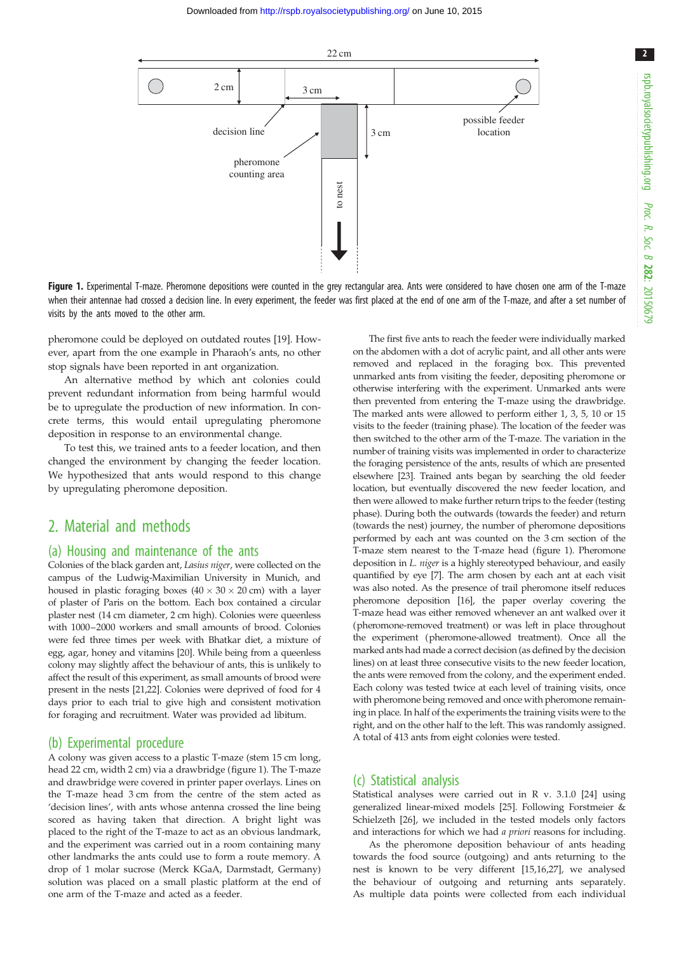

Figure 1. Experimental T-maze. Pheromone depositions were counted in the grey rectangular area. Ants were considered to have chosen one arm of the T-maze when their antennae had crossed a decision line. In every experiment, the feeder was first placed at the end of one arm of the T-maze, and after a set number of visits by the ants moved to the other arm.

pheromone could be deployed on outdated routes [[19](#page-4-0)]. However, apart from the one example in Pharaoh's ants, no other stop signals have been reported in ant organization.

An alternative method by which ant colonies could prevent redundant information from being harmful would be to upregulate the production of new information. In concrete terms, this would entail upregulating pheromone deposition in response to an environmental change.

To test this, we trained ants to a feeder location, and then changed the environment by changing the feeder location. We hypothesized that ants would respond to this change by upregulating pheromone deposition.

## 2. Material and methods

#### (a) Housing and maintenance of the ants

Colonies of the black garden ant, Lasius niger, were collected on the campus of the Ludwig-Maximilian University in Munich, and housed in plastic foraging boxes ( $40 \times 30 \times 20$  cm) with a layer of plaster of Paris on the bottom. Each box contained a circular plaster nest (14 cm diameter, 2 cm high). Colonies were queenless with 1000–2000 workers and small amounts of brood. Colonies were fed three times per week with Bhatkar diet, a mixture of egg, agar, honey and vitamins [\[20](#page-4-0)]. While being from a queenless colony may slightly affect the behaviour of ants, this is unlikely to affect the result of this experiment, as small amounts of brood were present in the nests [[21,22](#page-4-0)]. Colonies were deprived of food for 4 days prior to each trial to give high and consistent motivation for foraging and recruitment. Water was provided ad libitum.

#### (b) Experimental procedure

A colony was given access to a plastic T-maze (stem 15 cm long, head 22 cm, width 2 cm) via a drawbridge (figure 1). The T-maze and drawbridge were covered in printer paper overlays. Lines on the T-maze head 3 cm from the centre of the stem acted as 'decision lines', with ants whose antenna crossed the line being scored as having taken that direction. A bright light was placed to the right of the T-maze to act as an obvious landmark, and the experiment was carried out in a room containing many other landmarks the ants could use to form a route memory. A drop of 1 molar sucrose (Merck KGaA, Darmstadt, Germany) solution was placed on a small plastic platform at the end of one arm of the T-maze and acted as a feeder.

The first five ants to reach the feeder were individually marked on the abdomen with a dot of acrylic paint, and all other ants were removed and replaced in the foraging box. This prevented unmarked ants from visiting the feeder, depositing pheromone or otherwise interfering with the experiment. Unmarked ants were then prevented from entering the T-maze using the drawbridge. The marked ants were allowed to perform either 1, 3, 5, 10 or 15 visits to the feeder (training phase). The location of the feeder was then switched to the other arm of the T-maze. The variation in the number of training visits was implemented in order to characterize the foraging persistence of the ants, results of which are presented elsewhere [\[23](#page-5-0)]. Trained ants began by searching the old feeder location, but eventually discovered the new feeder location, and then were allowed to make further return trips to the feeder (testing phase). During both the outwards (towards the feeder) and return (towards the nest) journey, the number of pheromone depositions performed by each ant was counted on the 3 cm section of the T-maze stem nearest to the T-maze head (figure 1). Pheromone deposition in L. niger is a highly stereotyped behaviour, and easily quantified by eye [\[7](#page-4-0)]. The arm chosen by each ant at each visit was also noted. As the presence of trail pheromone itself reduces pheromone deposition [[16](#page-4-0)], the paper overlay covering the T-maze head was either removed whenever an ant walked over it (pheromone-removed treatment) or was left in place throughout the experiment (pheromone-allowed treatment). Once all the marked ants had made a correct decision (as defined by the decision lines) on at least three consecutive visits to the new feeder location, the ants were removed from the colony, and the experiment ended. Each colony was tested twice at each level of training visits, once with pheromone being removed and once with pheromone remaining in place. In half of the experiments the training visits were to the right, and on the other half to the left. This was randomly assigned. A total of 413 ants from eight colonies were tested.

#### (c) Statistical analysis

Statistical analyses were carried out in R v. 3.1.0 [\[24\]](#page-5-0) using generalized linear-mixed models [[25](#page-5-0)]. Following Forstmeier & Schielzeth [[26](#page-5-0)], we included in the tested models only factors and interactions for which we had a priori reasons for including.

As the pheromone deposition behaviour of ants heading towards the food source (outgoing) and ants returning to the nest is known to be very different [[15,16,](#page-4-0)[27](#page-5-0)], we analysed the behaviour of outgoing and returning ants separately. As multiple data points were collected from each individual 2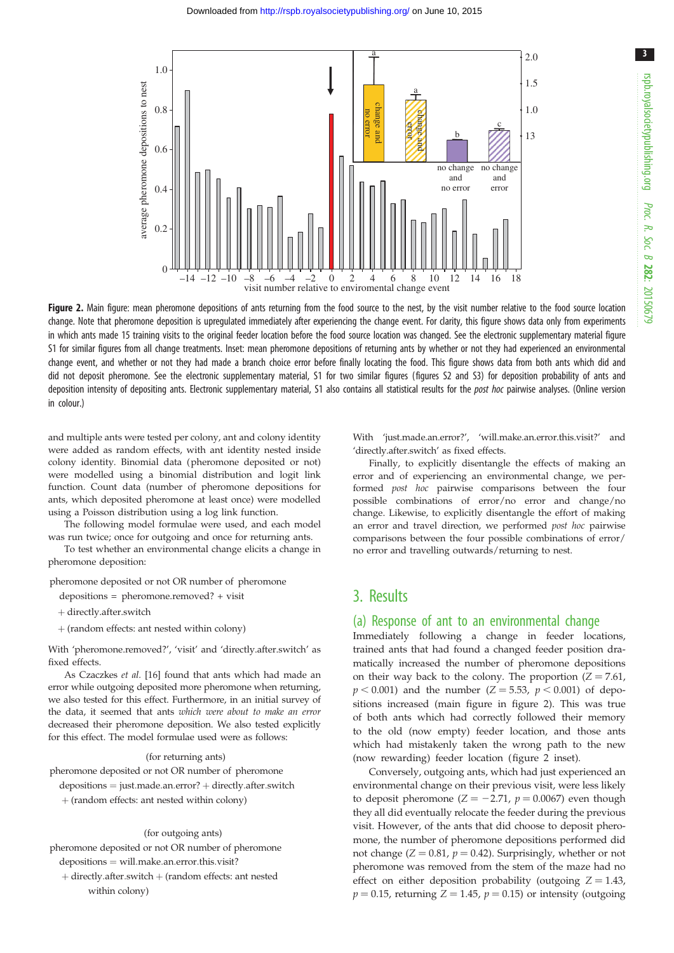<span id="page-2-0"></span>

Figure 2. Main figure: mean pheromone depositions of ants returning from the food source to the nest, by the visit number relative to the food source location change. Note that pheromone deposition is upregulated immediately after experiencing the change event. For clarity, this figure shows data only from experiments in which ants made 15 training visits to the original feeder location before the food source location was changed. See the electronic supplementary material figure S1 for similar figures from all change treatments. Inset: mean pheromone depositions of returning ants by whether or not they had experienced an environmental change event, and whether or not they had made a branch choice error before finally locating the food. This figure shows data from both ants which did and did not deposit pheromone. See the electronic supplementary material, S1 for two similar figures (figures S2 and S3) for deposition probability of ants and deposition intensity of depositing ants. Electronic supplementary material, S1 also contains all statistical results for the post hoc pairwise analyses. (Online version in colour.)

and multiple ants were tested per colony, ant and colony identity were added as random effects, with ant identity nested inside colony identity. Binomial data (pheromone deposited or not) were modelled using a binomial distribution and logit link function. Count data (number of pheromone depositions for ants, which deposited pheromone at least once) were modelled using a Poisson distribution using a log link function.

The following model formulae were used, and each model was run twice; once for outgoing and once for returning ants.

To test whether an environmental change elicits a change in pheromone deposition:

pheromone deposited or not OR number of pheromone

depositions = pheromone.removed? + visit

þ directly.after.switch

þ (random effects: ant nested within colony)

With 'pheromone.removed?', 'visit' and 'directly.after.switch' as fixed effects.

As Czaczkes et al. [[16](#page-4-0)] found that ants which had made an error while outgoing deposited more pheromone when returning, we also tested for this effect. Furthermore, in an initial survey of the data, it seemed that ants which were about to make an error decreased their pheromone deposition. We also tested explicitly for this effect. The model formulae used were as follows:

#### (for returning ants)

pheromone deposited or not OR number of pheromone

depositions = just.made.an.error? + directly.after.switch

 $+$  (random effects: ant nested within colony)

#### (for outgoing ants)

pheromone deposited or not OR number of pheromone

- $depositions = will.make.an_error.this.visit?$
- $\phi$  + directly.after.switch + (random effects: ant nested within colony)

With 'just.made.an.error?', 'will.make.an.error.this.visit?' and 'directly.after.switch' as fixed effects.

Finally, to explicitly disentangle the effects of making an error and of experiencing an environmental change, we performed post hoc pairwise comparisons between the four possible combinations of error/no error and change/no change. Likewise, to explicitly disentangle the effort of making an error and travel direction, we performed post hoc pairwise comparisons between the four possible combinations of error/ no error and travelling outwards/returning to nest.

### 3. Results

#### (a) Response of ant to an environmental change

Immediately following a change in feeder locations, trained ants that had found a changed feeder position dramatically increased the number of pheromone depositions on their way back to the colony. The proportion  $(Z = 7.61$ ,  $p < 0.001$ ) and the number (Z = 5.53,  $p < 0.001$ ) of depositions increased (main figure in figure 2). This was true of both ants which had correctly followed their memory to the old (now empty) feeder location, and those ants which had mistakenly taken the wrong path to the new (now rewarding) feeder location (figure 2 inset).

Conversely, outgoing ants, which had just experienced an environmental change on their previous visit, were less likely to deposit pheromone ( $Z = -2.71$ ,  $p = 0.0067$ ) even though they all did eventually relocate the feeder during the previous visit. However, of the ants that did choose to deposit pheromone, the number of pheromone depositions performed did not change ( $Z = 0.81$ ,  $p = 0.42$ ). Surprisingly, whether or not pheromone was removed from the stem of the maze had no effect on either deposition probability (outgoing  $Z = 1.43$ ,  $p = 0.15$ , returning  $Z = 1.45$ ,  $p = 0.15$ ) or intensity (outgoing

3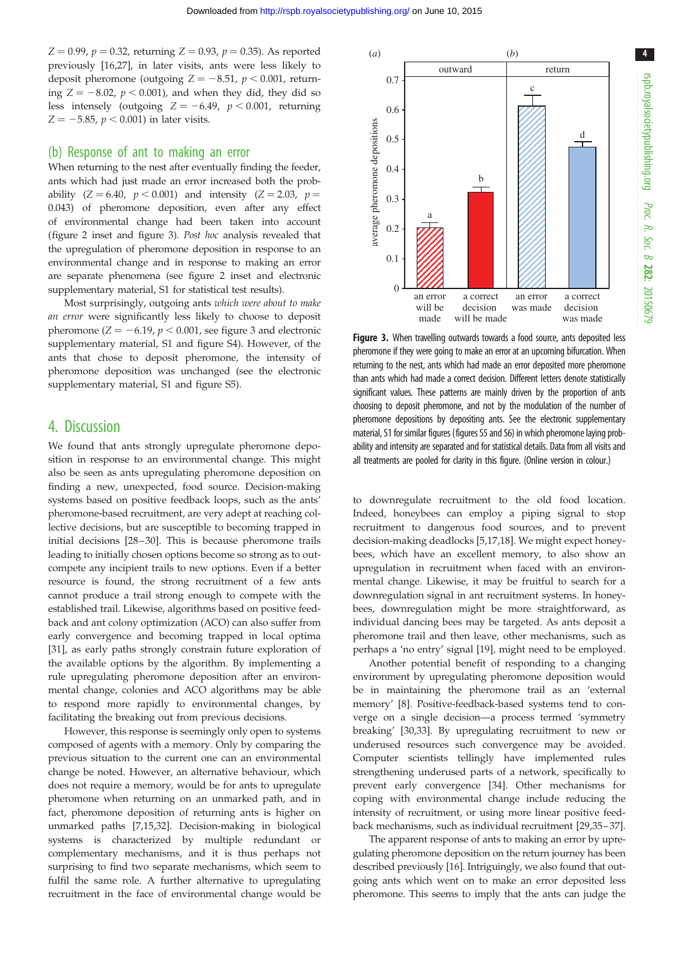$Z = 0.99$ ,  $p = 0.32$ , returning  $Z = 0.93$ ,  $p = 0.35$ ). As reported previously [\[16](#page-4-0)[,27](#page-5-0)], in later visits, ants were less likely to deposit pheromone (outgoing  $Z = -8.51$ ,  $p < 0.001$ , returning  $Z = -8.02$ ,  $p < 0.001$ ), and when they did, they did so less intensely (outgoing  $Z = -6.49$ ,  $p < 0.001$ , returning  $Z = -5.85$ ,  $p < 0.001$ ) in later visits.

#### (b) Response of ant to making an error

When returning to the nest after eventually finding the feeder, ants which had just made an error increased both the probability (Z = 6.40,  $p < 0.001$ ) and intensity (Z = 2.03,  $p =$ 0.043) of pheromone deposition, even after any effect of environmental change had been taken into account [\(figure 2](#page-2-0) inset and figure 3). Post hoc analysis revealed that the upregulation of pheromone deposition in response to an environmental change and in response to making an error are separate phenomena (see [figure 2](#page-2-0) inset and electronic supplementary material, S1 for statistical test results).

Most surprisingly, outgoing ants which were about to make an error were significantly less likely to choose to deposit pheromone ( $Z = -6.19$ ,  $p < 0.001$ , see figure 3 and electronic supplementary material, S1 and figure S4). However, of the ants that chose to deposit pheromone, the intensity of pheromone deposition was unchanged (see the electronic supplementary material, S1 and figure S5).

## 4. Discussion

We found that ants strongly upregulate pheromone deposition in response to an environmental change. This might also be seen as ants upregulating pheromone deposition on finding a new, unexpected, food source. Decision-making systems based on positive feedback loops, such as the ants' pheromone-based recruitment, are very adept at reaching collective decisions, but are susceptible to becoming trapped in initial decisions [\[28](#page-5-0) –[30](#page-5-0)]. This is because pheromone trails leading to initially chosen options become so strong as to outcompete any incipient trails to new options. Even if a better resource is found, the strong recruitment of a few ants cannot produce a trail strong enough to compete with the established trail. Likewise, algorithms based on positive feedback and ant colony optimization (ACO) can also suffer from early convergence and becoming trapped in local optima [\[31](#page-5-0)], as early paths strongly constrain future exploration of the available options by the algorithm. By implementing a rule upregulating pheromone deposition after an environmental change, colonies and ACO algorithms may be able to respond more rapidly to environmental changes, by facilitating the breaking out from previous decisions.

However, this response is seemingly only open to systems composed of agents with a memory. Only by comparing the previous situation to the current one can an environmental change be noted. However, an alternative behaviour, which does not require a memory, would be for ants to upregulate pheromone when returning on an unmarked path, and in fact, pheromone deposition of returning ants is higher on unmarked paths [\[7](#page-4-0),[15,](#page-4-0)[32](#page-5-0)]. Decision-making in biological systems is characterized by multiple redundant or complementary mechanisms, and it is thus perhaps not surprising to find two separate mechanisms, which seem to fulfil the same role. A further alternative to upregulating recruitment in the face of environmental change would be



Figure 3. When travelling outwards towards a food source, ants deposited less pheromone if they were going to make an error at an upcoming bifurcation. When returning to the nest, ants which had made an error deposited more pheromone than ants which had made a correct decision. Different letters denote statistically significant values. These patterns are mainly driven by the proportion of ants choosing to deposit pheromone, and not by the modulation of the number of pheromone depositions by depositing ants. See the electronic supplementary material, S1 for similar figures (figures S5 and S6) in which pheromone laying probability and intensity are separated and for statistical details. Data from all visits and all treatments are pooled for clarity in this figure. (Online version in colour.)

to downregulate recruitment to the old food location. Indeed, honeybees can employ a piping signal to stop recruitment to dangerous food sources, and to prevent decision-making deadlocks [[5](#page-4-0),[17,18\]](#page-4-0). We might expect honeybees, which have an excellent memory, to also show an upregulation in recruitment when faced with an environmental change. Likewise, it may be fruitful to search for a downregulation signal in ant recruitment systems. In honeybees, downregulation might be more straightforward, as individual dancing bees may be targeted. As ants deposit a pheromone trail and then leave, other mechanisms, such as perhaps a 'no entry' signal [[19\]](#page-4-0), might need to be employed.

Another potential benefit of responding to a changing environment by upregulating pheromone deposition would be in maintaining the pheromone trail as an 'external memory' [[8](#page-4-0)]. Positive-feedback-based systems tend to converge on a single decision—a process termed 'symmetry breaking' [[30,33](#page-5-0)]. By upregulating recruitment to new or underused resources such convergence may be avoided. Computer scientists tellingly have implemented rules strengthening underused parts of a network, specifically to prevent early convergence [[34\]](#page-5-0). Other mechanisms for coping with environmental change include reducing the intensity of recruitment, or using more linear positive feed-back mechanisms, such as individual recruitment [\[29,35](#page-5-0)-37].

The apparent response of ants to making an error by upregulating pheromone deposition on the return journey has been described previously [\[16\]](#page-4-0). Intriguingly, we also found that outgoing ants which went on to make an error deposited less pheromone. This seems to imply that the ants can judge the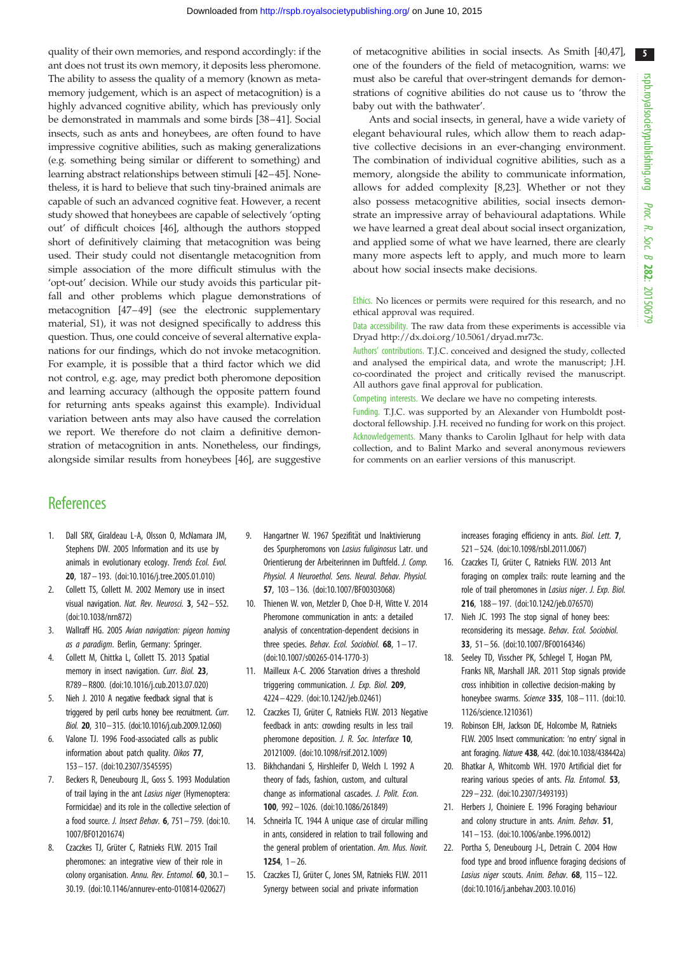5

<span id="page-4-0"></span>quality of their own memories, and respond accordingly: if the ant does not trust its own memory, it deposits less pheromone. The ability to assess the quality of a memory (known as metamemory judgement, which is an aspect of metacognition) is a highly advanced cognitive ability, which has previously only be demonstrated in mammals and some birds [\[38](#page-5-0)–[41\]](#page-5-0). Social insects, such as ants and honeybees, are often found to have impressive cognitive abilities, such as making generalizations (e.g. something being similar or different to something) and learning abstract relationships between stimuli [\[42](#page-5-0)–[45\]](#page-5-0). Nonetheless, it is hard to believe that such tiny-brained animals are capable of such an advanced cognitive feat. However, a recent study showed that honeybees are capable of selectively 'opting out' of difficult choices [\[46](#page-5-0)], although the authors stopped short of definitively claiming that metacognition was being used. Their study could not disentangle metacognition from simple association of the more difficult stimulus with the 'opt-out' decision. While our study avoids this particular pitfall and other problems which plague demonstrations of metacognition [\[47](#page-5-0)–[49](#page-5-0)] (see the electronic supplementary material, S1), it was not designed specifically to address this question. Thus, one could conceive of several alternative explanations for our findings, which do not invoke metacognition. For example, it is possible that a third factor which we did not control, e.g. age, may predict both pheromone deposition and learning accuracy (although the opposite pattern found for returning ants speaks against this example). Individual variation between ants may also have caused the correlation we report. We therefore do not claim a definitive demonstration of metacognition in ants. Nonetheless, our findings, alongside similar results from honeybees [[46](#page-5-0)], are suggestive

of metacognitive abilities in social insects. As Smith [[40,47\]](#page-5-0), one of the founders of the field of metacognition, warns: we must also be careful that over-stringent demands for demonstrations of cognitive abilities do not cause us to 'throw the baby out with the bathwater'.

Ants and social insects, in general, have a wide variety of elegant behavioural rules, which allow them to reach adaptive collective decisions in an ever-changing environment. The combination of individual cognitive abilities, such as a memory, alongside the ability to communicate information, allows for added complexity [8[,23](#page-5-0)]. Whether or not they also possess metacognitive abilities, social insects demonstrate an impressive array of behavioural adaptations. While we have learned a great deal about social insect organization, and applied some of what we have learned, there are clearly many more aspects left to apply, and much more to learn about how social insects make decisions.

Ethics. No licences or permits were required for this research, and no ethical approval was required.

Data accessibility. The raw data from these experiments is accessible via Dryad<http://dx.doi.org/10.5061/dryad.mr73c>.

Authors' contributions. T.J.C. conceived and designed the study, collected and analysed the empirical data, and wrote the manuscript; J.H. co-coordinated the project and critically revised the manuscript. All authors gave final approval for publication.

Competing interests. We declare we have no competing interests.

Funding. T.J.C. was supported by an Alexander von Humboldt postdoctoral fellowship. J.H. received no funding for work on this project. Acknowledgements. Many thanks to Carolin Iglhaut for help with data collection, and to Balint Marko and several anonymous reviewers for comments on an earlier versions of this manuscript.

## **References**

- 1. Dall SRX, Giraldeau L-A, Olsson O, McNamara JM, Stephens DW. 2005 Information and its use by animals in evolutionary ecology. Trends Ecol. Evol. 20, 187– 193. ([doi:10.1016/j.tree.2005.01.010\)](http://dx.doi.org/10.1016/j.tree.2005.01.010)
- 2. Collett TS, Collett M. 2002 Memory use in insect visual navigation. Nat. Rev. Neurosci. 3, 542– 552. [\(doi:10.1038/nrn872](http://dx.doi.org/10.1038/nrn872))
- 3. Wallraff HG. 2005 Avian navigation: pigeon homing as a paradigm. Berlin, Germany: Springer.
- 4. Collett M, Chittka L, Collett TS. 2013 Spatial memory in insect navigation. Curr. Biol. 23, R789 –R800. ([doi:10.1016/j.cub.2013.07.020\)](http://dx.doi.org/10.1016/j.cub.2013.07.020)
- 5. Nieh J. 2010 A negative feedback signal that is triggered by peril curbs honey bee recruitment. Curr. Biol. 20, 310–315. ([doi:10.1016/j.cub.2009.12.060\)](http://dx.doi.org/10.1016/j.cub.2009.12.060)
- 6. Valone TJ. 1996 Food-associated calls as public information about patch quality. Oikos 77, 153– 157. ([doi:10.2307/3545595\)](http://dx.doi.org/10.2307/3545595)
- 7. Beckers R, Deneubourg JL, Goss S. 1993 Modulation of trail laying in the ant Lasius niger (Hymenoptera: Formicidae) and its role in the collective selection of a food source. J. Insect Behav.  $6$ ,  $751 - 759$ . ([doi:10.](http://dx.doi.org/10.1007/BF01201674) [1007/BF01201674\)](http://dx.doi.org/10.1007/BF01201674)
- 8. Czaczkes TJ, Grüter C, Ratnieks FLW. 2015 Trail pheromones: an integrative view of their role in colony organisation. Annu. Rev. Entomol. 60, 30.1-30.19. [\(doi:10.1146/annurev-ento-010814-020627](http://dx.doi.org/10.1146/annurev-ento-010814-020627))
- 9. Hangartner W. 1967 Spezifität und Inaktivierung des Spurpheromons von Lasius fuliginosus Latr. und Orientierung der Arbeiterinnen im Duftfeld. J. Comp. Physiol. A Neuroethol. Sens. Neural. Behav. Physiol. 57, 103– 136. ([doi:10.1007/BF00303068\)](http://dx.doi.org/10.1007/BF00303068)
- 10. Thienen W. von, Metzler D, Choe D-H, Witte V. 2014 Pheromone communication in ants: a detailed analysis of concentration-dependent decisions in three species. Behav. Ecol. Sociobiol.  $68$ ,  $1-17$ . [\(doi:10.1007/s00265-014-1770-3](http://dx.doi.org/10.1007/s00265-014-1770-3))
- 11. Mailleux A-C. 2006 Starvation drives a threshold triggering communication. J. Exp. Biol. 209, 4224– 4229. [\(doi:10.1242/jeb.02461\)](http://dx.doi.org/10.1242/jeb.02461)
- 12. Czaczkes TJ, Grüter C, Ratnieks FLW. 2013 Negative feedback in ants: crowding results in less trail pheromone deposition. J. R. Soc. Interface 10, 20121009. ([doi:10.1098/rsif.2012.1009\)](http://dx.doi.org/10.1098/rsif.2012.1009)
- 13. Bikhchandani S, Hirshleifer D, Welch I. 1992 A theory of fads, fashion, custom, and cultural change as informational cascades. J. Polit. Econ. 100, 992 – 1026. ([doi:10.1086/261849](http://dx.doi.org/10.1086/261849))
- 14. Schneirla TC. 1944 A unique case of circular milling in ants, considered in relation to trail following and the general problem of orientation. Am. Mus. Novit. 1254,  $1 - 26$ .
- 15. Czaczkes TJ, Grüter C, Jones SM, Ratnieks FLW. 2011 Synergy between social and private information

increases foraging efficiency in ants. Biol. Lett. 7, 521– 524. [\(doi:10.1098/rsbl.2011.0067](http://dx.doi.org/10.1098/rsbl.2011.0067))

- 16. Czaczkes TJ, Grüter C, Ratnieks FLW. 2013 Ant foraging on complex trails: route learning and the role of trail pheromones in Lasius niger. J. Exp. Biol. 216, 188– 197. [\(doi:10.1242/jeb.076570](http://dx.doi.org/10.1242/jeb.076570))
- 17. Nieh JC. 1993 The stop signal of honey bees: reconsidering its message. Behav. Ecol. Sociobiol. 33, 51 – 56. ([doi:10.1007/BF00164346\)](http://dx.doi.org/10.1007/BF00164346)
- 18. Seeley TD, Visscher PK, Schlegel T, Hogan PM, Franks NR, Marshall JAR. 2011 Stop signals provide cross inhibition in collective decision-making by honeybee swarms. Science 335, 108 - 111. [\(doi:10.](http://dx.doi.org/10.1126/science.1210361) [1126/science.1210361](http://dx.doi.org/10.1126/science.1210361))
- 19. Robinson EJH, Jackson DE, Holcombe M, Ratnieks FLW. 2005 Insect communication: 'no entry' signal in ant foraging. Nature 438, 442. [\(doi:10.1038/438442a](http://dx.doi.org/10.1038/438442a))
- 20. Bhatkar A, Whitcomb WH. 1970 Artificial diet for rearing various species of ants. Fla. Entomol. 53, 229– 232. [\(doi:10.2307/3493193](http://dx.doi.org/10.2307/3493193))
- 21. Herbers J, Choiniere E. 1996 Foraging behaviour and colony structure in ants. Anim. Behav. 51, 141– 153. [\(doi:10.1006/anbe.1996.0012\)](http://dx.doi.org/10.1006/anbe.1996.0012)
- 22. Portha S, Deneubourg J-L, Detrain C. 2004 How food type and brood influence foraging decisions of Lasius niger scouts. Anim. Behav. 68, 115-122. ([doi:10.1016/j.anbehav.2003.10.016](http://dx.doi.org/10.1016/j.anbehav.2003.10.016))